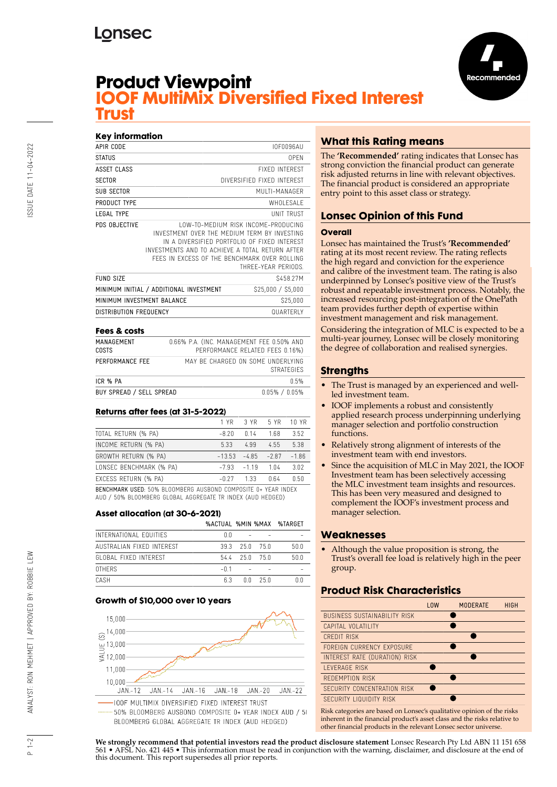## **Lonsec**



## **Product Viewpoint IOOF MultiMix Diversified Fixed Interest Trust**

| Key information            |                                                                                                                                                                                                 |                                                                   |
|----------------------------|-------------------------------------------------------------------------------------------------------------------------------------------------------------------------------------------------|-------------------------------------------------------------------|
| APIR CODE                  |                                                                                                                                                                                                 | IOF0096AU                                                         |
| STATUS                     |                                                                                                                                                                                                 | OPEN                                                              |
| ASSET CLASS                |                                                                                                                                                                                                 | <b>FIXED INTEREST</b>                                             |
| SECTOR                     |                                                                                                                                                                                                 | DIVERSIFIED FIXED INTEREST                                        |
| <b>SUB SECTOR</b>          |                                                                                                                                                                                                 | MUITI-MANAGER                                                     |
| PRODUCT TYPF               |                                                                                                                                                                                                 | WHOI FSAI F                                                       |
| <b>LEGAL TYPE</b>          |                                                                                                                                                                                                 | <b>UNIT TRUST</b>                                                 |
| PDS OBJECTIVE              | INVESTMENT OVER THE MEDIUM TERM BY INVESTING<br>IN A DIVERSIFIED PORTFOLIO OF FIXED INTEREST<br>INVESTMENTS AND TO ACHIEVE A TOTAL RETURN AFTER<br>FFFS IN FXCESS OF THE BENCHMARK OVER ROLLING | <b>LOW-TO-MEDIUM RISK INCOME-PRODUCING</b><br>THRFF-YFAR PFRIODS. |
| <b>FUND SIZE</b>           |                                                                                                                                                                                                 | S458.27M                                                          |
|                            | MINIMUM INITIAL / ADDITIONAL INVESTMENT                                                                                                                                                         | \$25,000 / \$5,000                                                |
| MINIMUM INVESTMENT BALANCE |                                                                                                                                                                                                 | \$25,000                                                          |
| DISTRIBUTION FREQUENCY     |                                                                                                                                                                                                 | <b>QUARTERIY</b>                                                  |

### **Fees & costs**

| MANAGEMENT<br><b>COSTS</b> | 0.66% P.A. (INC. MANAGEMENT FEE 0.50% AND<br>PERFORMANCE RELATED FEES 0.16%) |
|----------------------------|------------------------------------------------------------------------------|
| PERFORMANCE FFF            | MAY BE CHARGED ON SOME UNDERLYING<br><b>STRATEGIES</b>                       |
| ICR % PA                   | 0.5%                                                                         |
| BUY SPREAD / SELL SPREAD   | $0.05\%$ / $0.05\%$                                                          |

### **Returns after fees (at 31-5-2022)**

|                                                                                                                                    | 1 YR     | 3 YR    | 5 YR    | 10 YR   |
|------------------------------------------------------------------------------------------------------------------------------------|----------|---------|---------|---------|
| TOTAL RETURN (% PA)                                                                                                                | $-8.20$  | 0.14    | 1.68    | 3.52    |
| INCOME RETURN (% PA)                                                                                                               | 5.33     | 4.99    | 4.55    | 5.38    |
| GROWTH RETURN (% PA)                                                                                                               | $-13.53$ | $-4.85$ | $-2.87$ | $-1.86$ |
| LONSEC BENCHMARK (% PA)                                                                                                            | $-7.93$  | $-1.19$ | 1.04    | 3.02    |
| EXCESS RETURN (% PA)                                                                                                               | $-0.27$  | 1.33    | 0.64    | 0.50    |
| <b>BENCHMARK USED: 50% BLOOMBERG AUSBOND COMPOSITE 0+ YEAR INDEX</b><br>AUD / 50% BLOOMBERG GLOBAL AGGREGATE TR INDEX (AUD HEDGED) |          |         |         |         |

### **Asset allocation (at 30-6-2021)**

|                           |        |    |         | %ACTUAL %MIN %MAX %TARGET |
|---------------------------|--------|----|---------|---------------------------|
| INTERNATIONAL FOUITIES    | n n    |    |         |                           |
| AUSTRALIAN FIXED INTEREST | 393    |    | 250 750 | 50.0                      |
| GLOBAL FIXED INTEREST     | 544    |    | 250 750 | 500                       |
| <b>OTHERS</b>             | $-0.1$ |    |         |                           |
| <b>CASH</b>               | 6.3    | ΛN | 25 N    |                           |

### **Growth of \$10,000 over 10 years**



## **What this Rating means**

The **'Recommended'** rating indicates that Lonsec has strong conviction the financial product can generate risk adjusted returns in line with relevant objectives. The financial product is considered an appropriate entry point to this asset class or strategy.

## **Lonsec Opinion of this Fund**

#### **Overall**

Lonsec has maintained the Trust's **'Recommended'** rating at its most recent review. The rating reflects the high regard and conviction for the experience and calibre of the investment team. The rating is also underpinned by Lonsec's positive view of the Trust's robust and repeatable investment process. Notably, the increased resourcing post-integration of the OnePath team provides further depth of expertise within investment management and risk management. Considering the integration of MLC is expected to be a multi-year journey, Lonsec will be closely monitoring the degree of collaboration and realised synergies.

### **Strengths**

- The Trust is managed by an experienced and wellled investment team.
- IOOF implements a robust and consistently applied research process underpinning underlying manager selection and portfolio construction functions.
- Relatively strong alignment of interests of the investment team with end investors.
- Since the acquisition of MLC in May 2021, the IOOF Investment team has been selectively accessing the MLC investment team insights and resources. This has been very measured and designed to complement the IOOF's investment process and manager selection.

### **Weaknesses**

• Although the value proposition is strong, the Trust's overall fee load is relatively high in the peer group.

### **Product Risk Characteristics**

|                                                                                                                                                                                                                                              | <b>LOW</b> | <b>MODERATE</b> | <b>HIGH</b> |
|----------------------------------------------------------------------------------------------------------------------------------------------------------------------------------------------------------------------------------------------|------------|-----------------|-------------|
| <b>BUSINESS SUSTAINABILITY RISK</b>                                                                                                                                                                                                          |            |                 |             |
| CAPITAL VOLATILITY                                                                                                                                                                                                                           |            |                 |             |
| CREDIT RISK                                                                                                                                                                                                                                  |            |                 |             |
| FORFIGN CURRENCY EXPOSURE                                                                                                                                                                                                                    |            |                 |             |
| INTEREST RATE (DURATION) RISK                                                                                                                                                                                                                |            |                 |             |
| LEVERAGE RISK                                                                                                                                                                                                                                |            |                 |             |
| REDEMPTION RISK                                                                                                                                                                                                                              |            |                 |             |
| SECURITY CONCENTRATION RISK                                                                                                                                                                                                                  |            |                 |             |
| SECURITY LIQUIDITY RISK                                                                                                                                                                                                                      |            |                 |             |
| $\mathbf{D}^{*}$ . The second control of the second control $\mathbf{H}^{*}$ . The second control $\mathbf{H}^{*}$ is a second control of the second control of the second control of the second control of the second control of the second |            |                 |             |

Risk categories are based on Lonsec's qualitative opinion of the risks inherent in the financial product's asset class and the risks relative to other financial products in the relevant Lonsec sector universe.

**We strongly recommend that potential investors read the product disclosure statement** Lonsec Research Pty Ltd ABN 11 151 658 561 • AFSL No. 421 445 • This information must be read in conjunction with the warning, disclaimer, and disclosure at the end of this document. This report supersedes all prior reports.